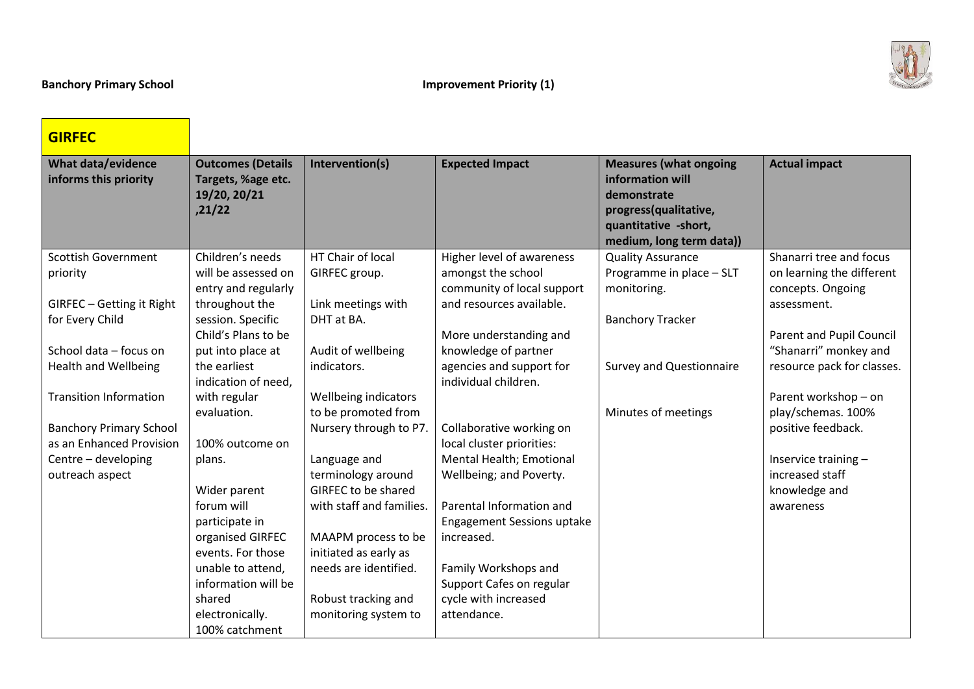$\mathcal{L}$ 

| <b>GIRFEC</b>                                      |                                                                          |                          |                                                  |                                                                                                                                               |                            |
|----------------------------------------------------|--------------------------------------------------------------------------|--------------------------|--------------------------------------------------|-----------------------------------------------------------------------------------------------------------------------------------------------|----------------------------|
| <b>What data/evidence</b><br>informs this priority | <b>Outcomes (Details</b><br>Targets, %age etc.<br>19/20, 20/21<br>,21/22 | Intervention(s)          | <b>Expected Impact</b>                           | <b>Measures (what ongoing</b><br>information will<br>demonstrate<br>progress(qualitative,<br>quantitative -short,<br>medium, long term data)) | <b>Actual impact</b>       |
| <b>Scottish Government</b>                         | Children's needs                                                         | HT Chair of local        | Higher level of awareness                        | <b>Quality Assurance</b>                                                                                                                      | Shanarri tree and focus    |
| priority                                           | will be assessed on                                                      | GIRFEC group.            | amongst the school                               | Programme in place - SLT                                                                                                                      | on learning the different  |
|                                                    | entry and regularly                                                      |                          | community of local support                       | monitoring.                                                                                                                                   | concepts. Ongoing          |
| GIRFEC - Getting it Right                          | throughout the                                                           | Link meetings with       | and resources available.                         |                                                                                                                                               | assessment.                |
| for Every Child                                    | session. Specific                                                        | DHT at BA.               |                                                  | <b>Banchory Tracker</b>                                                                                                                       |                            |
|                                                    | Child's Plans to be                                                      |                          | More understanding and                           |                                                                                                                                               | Parent and Pupil Council   |
| School data - focus on                             | put into place at                                                        | Audit of wellbeing       | knowledge of partner                             |                                                                                                                                               | "Shanarri" monkey and      |
| <b>Health and Wellbeing</b>                        | the earliest<br>indication of need,                                      | indicators.              | agencies and support for<br>individual children. | <b>Survey and Questionnaire</b>                                                                                                               | resource pack for classes. |
| <b>Transition Information</b>                      | with regular                                                             | Wellbeing indicators     |                                                  |                                                                                                                                               | Parent workshop - on       |
|                                                    | evaluation.                                                              | to be promoted from      |                                                  | Minutes of meetings                                                                                                                           | play/schemas. 100%         |
| <b>Banchory Primary School</b>                     |                                                                          | Nursery through to P7.   | Collaborative working on                         |                                                                                                                                               | positive feedback.         |
| as an Enhanced Provision                           | 100% outcome on                                                          |                          | local cluster priorities:                        |                                                                                                                                               |                            |
| Centre - developing                                | plans.                                                                   | Language and             | Mental Health; Emotional                         |                                                                                                                                               | Inservice training -       |
| outreach aspect                                    |                                                                          | terminology around       | Wellbeing; and Poverty.                          |                                                                                                                                               | increased staff            |
|                                                    | Wider parent                                                             | GIRFEC to be shared      |                                                  |                                                                                                                                               | knowledge and              |
|                                                    | forum will                                                               | with staff and families. | Parental Information and                         |                                                                                                                                               | awareness                  |
|                                                    | participate in                                                           |                          | <b>Engagement Sessions uptake</b>                |                                                                                                                                               |                            |
|                                                    | organised GIRFEC                                                         | MAAPM process to be      | increased.                                       |                                                                                                                                               |                            |
|                                                    | events. For those                                                        | initiated as early as    |                                                  |                                                                                                                                               |                            |
|                                                    | unable to attend,<br>information will be                                 | needs are identified.    | Family Workshops and                             |                                                                                                                                               |                            |
|                                                    | shared                                                                   | Robust tracking and      | Support Cafes on regular<br>cycle with increased |                                                                                                                                               |                            |
|                                                    | electronically.                                                          | monitoring system to     | attendance.                                      |                                                                                                                                               |                            |
|                                                    | 100% catchment                                                           |                          |                                                  |                                                                                                                                               |                            |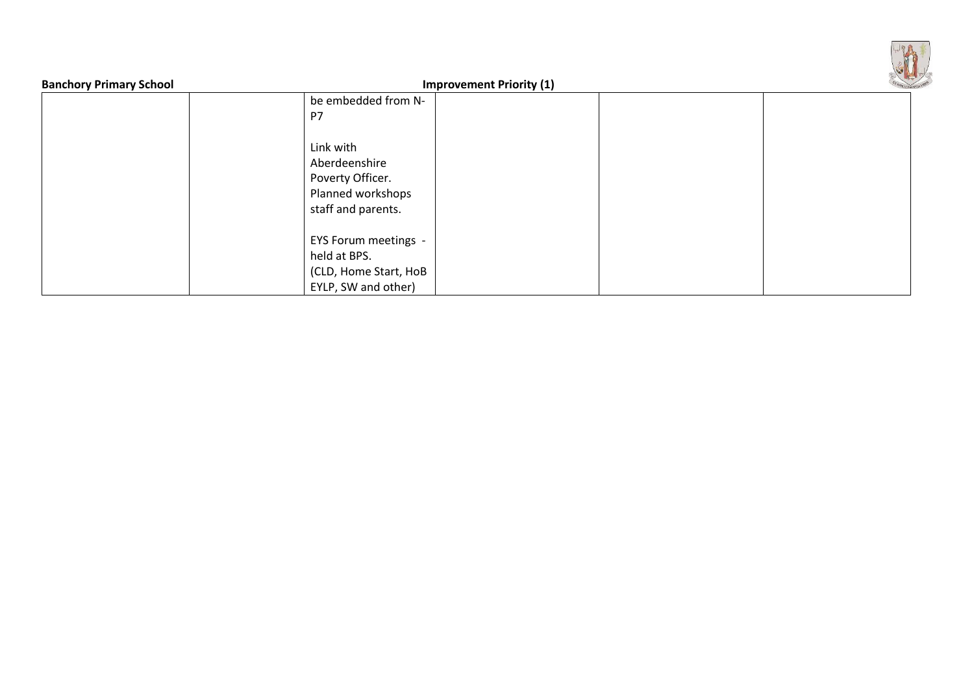| <b>Banchory Primary School</b> | <b>Improvement Priority (1)</b>                                                           |  |
|--------------------------------|-------------------------------------------------------------------------------------------|--|
|                                | be embedded from N-                                                                       |  |
|                                | P7                                                                                        |  |
|                                | Link with<br>Aberdeenshire<br>Poverty Officer.<br>Planned workshops<br>staff and parents. |  |
|                                | EYS Forum meetings -<br>held at BPS.<br>(CLD, Home Start, HoB<br>EYLP, SW and other)      |  |